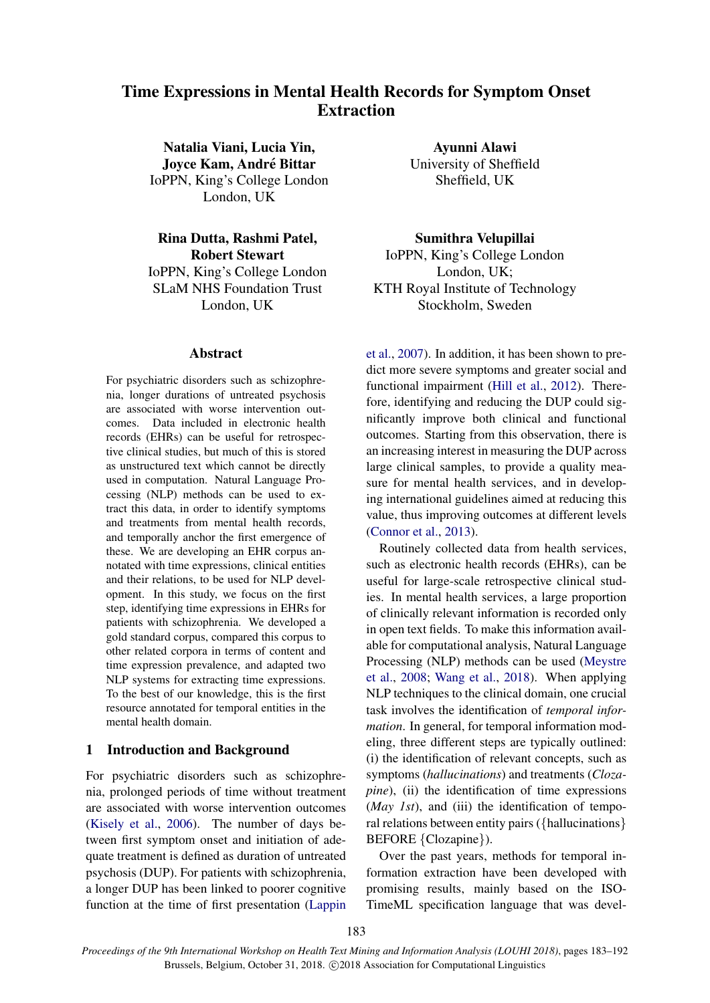# Time Expressions in Mental Health Records for Symptom Onset **Extraction**

Natalia Viani, Lucia Yin, Joyce Kam, Andre Bittar ´ IoPPN, King's College London London, UK

Rina Dutta, Rashmi Patel, Robert Stewart IoPPN, King's College London SLaM NHS Foundation Trust London, UK

#### Abstract

For psychiatric disorders such as schizophrenia, longer durations of untreated psychosis are associated with worse intervention outcomes. Data included in electronic health records (EHRs) can be useful for retrospective clinical studies, but much of this is stored as unstructured text which cannot be directly used in computation. Natural Language Processing (NLP) methods can be used to extract this data, in order to identify symptoms and treatments from mental health records, and temporally anchor the first emergence of these. We are developing an EHR corpus annotated with time expressions, clinical entities and their relations, to be used for NLP development. In this study, we focus on the first step, identifying time expressions in EHRs for patients with schizophrenia. We developed a gold standard corpus, compared this corpus to other related corpora in terms of content and time expression prevalence, and adapted two NLP systems for extracting time expressions. To the best of our knowledge, this is the first resource annotated for temporal entities in the mental health domain.

# 1 Introduction and Background

For psychiatric disorders such as schizophrenia, prolonged periods of time without treatment are associated with worse intervention outcomes [\(Kisely et al.,](#page-8-0) [2006\)](#page-8-0). The number of days between first symptom onset and initiation of adequate treatment is defined as duration of untreated psychosis (DUP). For patients with schizophrenia, a longer DUP has been linked to poorer cognitive function at the time of first presentation [\(Lappin](#page-8-1)

Ayunni Alawi University of Sheffield Sheffield, UK

Sumithra Velupillai IoPPN, King's College London London, UK; KTH Royal Institute of Technology Stockholm, Sweden

[et al.,](#page-8-1) [2007\)](#page-8-1). In addition, it has been shown to predict more severe symptoms and greater social and functional impairment [\(Hill et al.,](#page-8-2) [2012\)](#page-8-2). Therefore, identifying and reducing the DUP could significantly improve both clinical and functional outcomes. Starting from this observation, there is an increasing interest in measuring the DUP across large clinical samples, to provide a quality measure for mental health services, and in developing international guidelines aimed at reducing this value, thus improving outcomes at different levels [\(Connor et al.,](#page-8-3) [2013\)](#page-8-3).

Routinely collected data from health services, such as electronic health records (EHRs), can be useful for large-scale retrospective clinical studies. In mental health services, a large proportion of clinically relevant information is recorded only in open text fields. To make this information available for computational analysis, Natural Language Processing (NLP) methods can be used [\(Meystre](#page-8-4) [et al.,](#page-8-4) [2008;](#page-8-4) [Wang et al.,](#page-9-0) [2018\)](#page-9-0). When applying NLP techniques to the clinical domain, one crucial task involves the identification of *temporal information*. In general, for temporal information modeling, three different steps are typically outlined: (i) the identification of relevant concepts, such as symptoms (*hallucinations*) and treatments (*Clozapine*), (ii) the identification of time expressions (*May 1st*), and (iii) the identification of temporal relations between entity pairs ({hallucinations} BEFORE {Clozapine}).

Over the past years, methods for temporal information extraction have been developed with promising results, mainly based on the ISO-TimeML specification language that was devel-

183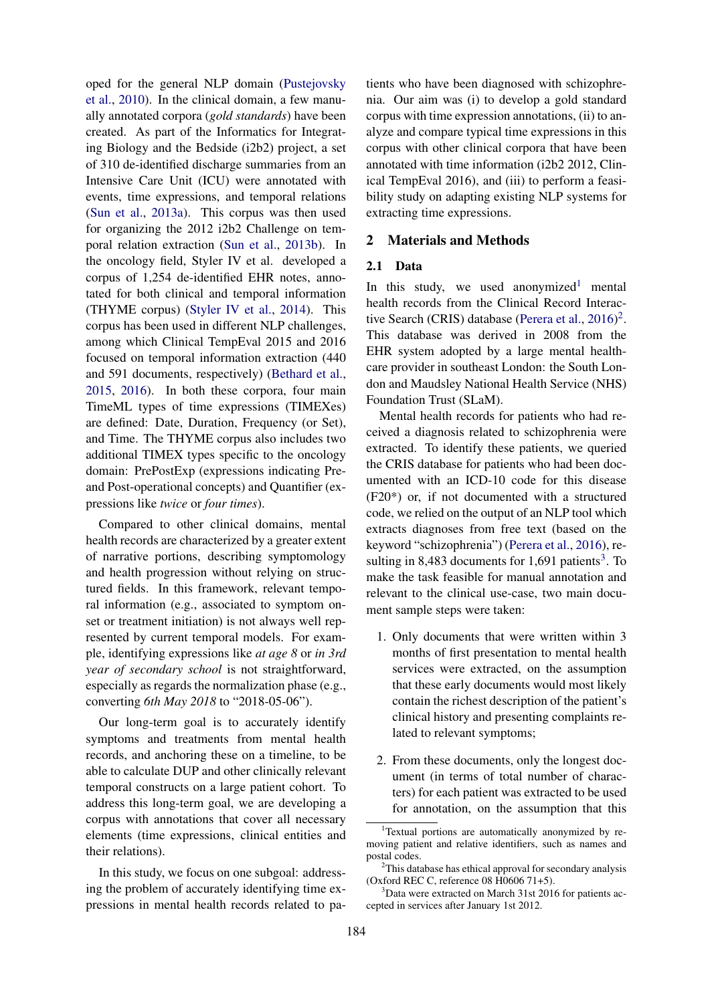oped for the general NLP domain [\(Pustejovsky](#page-8-5) [et al.,](#page-8-5) [2010\)](#page-8-5). In the clinical domain, a few manually annotated corpora (*gold standards*) have been created. As part of the Informatics for Integrating Biology and the Bedside (i2b2) project, a set of 310 de-identified discharge summaries from an Intensive Care Unit (ICU) were annotated with events, time expressions, and temporal relations [\(Sun et al.,](#page-9-1) [2013a\)](#page-9-1). This corpus was then used for organizing the 2012 i2b2 Challenge on temporal relation extraction [\(Sun et al.,](#page-9-2) [2013b\)](#page-9-2). In the oncology field, Styler IV et al. developed a corpus of 1,254 de-identified EHR notes, annotated for both clinical and temporal information (THYME corpus) [\(Styler IV et al.,](#page-9-3) [2014\)](#page-9-3). This corpus has been used in different NLP challenges, among which Clinical TempEval 2015 and 2016 focused on temporal information extraction (440 and 591 documents, respectively) [\(Bethard et al.,](#page-8-6) [2015,](#page-8-6) [2016\)](#page-8-7). In both these corpora, four main TimeML types of time expressions (TIMEXes) are defined: Date, Duration, Frequency (or Set), and Time. The THYME corpus also includes two additional TIMEX types specific to the oncology domain: PrePostExp (expressions indicating Preand Post-operational concepts) and Quantifier (expressions like *twice* or *four times*).

Compared to other clinical domains, mental health records are characterized by a greater extent of narrative portions, describing symptomology and health progression without relying on structured fields. In this framework, relevant temporal information (e.g., associated to symptom onset or treatment initiation) is not always well represented by current temporal models. For example, identifying expressions like *at age 8* or *in 3rd year of secondary school* is not straightforward, especially as regards the normalization phase (e.g., converting *6th May 2018* to "2018-05-06").

Our long-term goal is to accurately identify symptoms and treatments from mental health records, and anchoring these on a timeline, to be able to calculate DUP and other clinically relevant temporal constructs on a large patient cohort. To address this long-term goal, we are developing a corpus with annotations that cover all necessary elements (time expressions, clinical entities and their relations).

In this study, we focus on one subgoal: addressing the problem of accurately identifying time expressions in mental health records related to patients who have been diagnosed with schizophrenia. Our aim was (i) to develop a gold standard corpus with time expression annotations, (ii) to analyze and compare typical time expressions in this corpus with other clinical corpora that have been annotated with time information (i2b2 2012, Clinical TempEval 2016), and (iii) to perform a feasibility study on adapting existing NLP systems for extracting time expressions.

## 2 Materials and Methods

## 2.1 Data

In this study, we used anonymized<sup>[1](#page-1-0)</sup> mental health records from the Clinical Record Interac-tive Search (CRIS) database [\(Perera et al.,](#page-8-8)  $2016$  $2016$ )<sup>2</sup>. This database was derived in 2008 from the EHR system adopted by a large mental healthcare provider in southeast London: the South London and Maudsley National Health Service (NHS) Foundation Trust (SLaM).

Mental health records for patients who had received a diagnosis related to schizophrenia were extracted. To identify these patients, we queried the CRIS database for patients who had been documented with an ICD-10 code for this disease (F20\*) or, if not documented with a structured code, we relied on the output of an NLP tool which extracts diagnoses from free text (based on the keyword "schizophrenia") [\(Perera et al.,](#page-8-8) [2016\)](#page-8-8), re-sulting in 8,48[3](#page-1-2) documents for  $1,691$  patients<sup>3</sup>. To make the task feasible for manual annotation and relevant to the clinical use-case, two main document sample steps were taken:

- 1. Only documents that were written within 3 months of first presentation to mental health services were extracted, on the assumption that these early documents would most likely contain the richest description of the patient's clinical history and presenting complaints related to relevant symptoms;
- 2. From these documents, only the longest document (in terms of total number of characters) for each patient was extracted to be used for annotation, on the assumption that this

<span id="page-1-0"></span><sup>&</sup>lt;sup>1</sup>Textual portions are automatically anonymized by removing patient and relative identifiers, such as names and postal codes.

<span id="page-1-1"></span><sup>&</sup>lt;sup>2</sup>This database has ethical approval for secondary analysis (Oxford REC C, reference 08 H0606 71+5).

<span id="page-1-2"></span> $3$ Data were extracted on March 31st 2016 for patients accepted in services after January 1st 2012.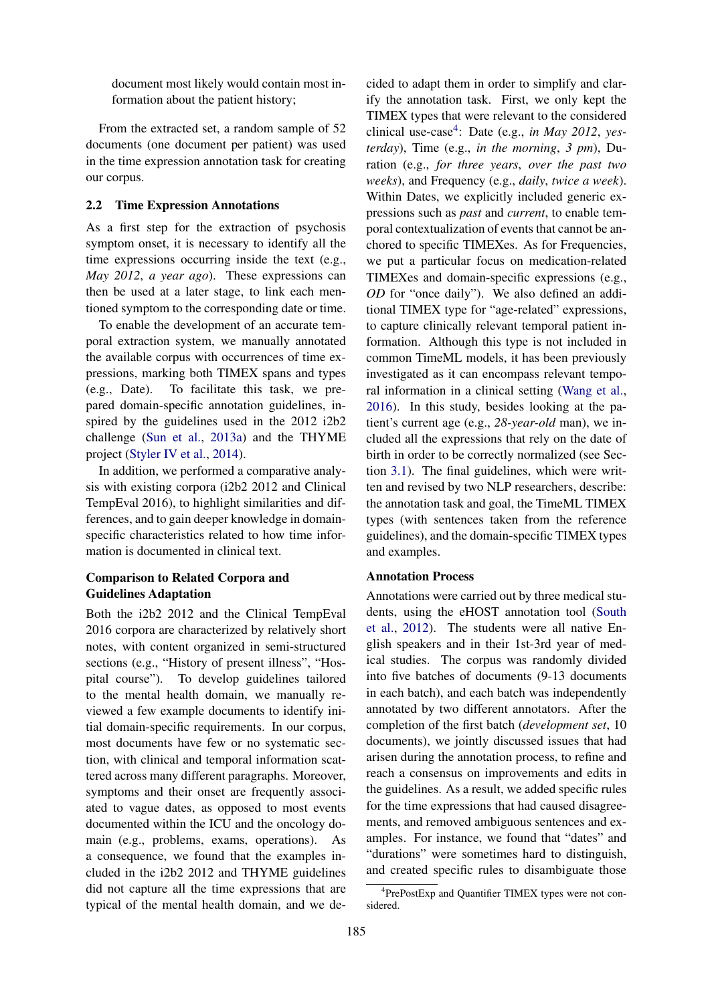document most likely would contain most information about the patient history;

From the extracted set, a random sample of 52 documents (one document per patient) was used in the time expression annotation task for creating our corpus.

# 2.2 Time Expression Annotations

As a first step for the extraction of psychosis symptom onset, it is necessary to identify all the time expressions occurring inside the text (e.g., *May 2012*, *a year ago*). These expressions can then be used at a later stage, to link each mentioned symptom to the corresponding date or time.

To enable the development of an accurate temporal extraction system, we manually annotated the available corpus with occurrences of time expressions, marking both TIMEX spans and types (e.g., Date). To facilitate this task, we prepared domain-specific annotation guidelines, inspired by the guidelines used in the 2012 i2b2 challenge [\(Sun et al.,](#page-9-1) [2013a\)](#page-9-1) and the THYME project [\(Styler IV et al.,](#page-9-3) [2014\)](#page-9-3).

In addition, we performed a comparative analysis with existing corpora (i2b2 2012 and Clinical TempEval 2016), to highlight similarities and differences, and to gain deeper knowledge in domainspecific characteristics related to how time information is documented in clinical text.

# Comparison to Related Corpora and Guidelines Adaptation

Both the i2b2 2012 and the Clinical TempEval 2016 corpora are characterized by relatively short notes, with content organized in semi-structured sections (e.g., "History of present illness", "Hospital course"). To develop guidelines tailored to the mental health domain, we manually reviewed a few example documents to identify initial domain-specific requirements. In our corpus, most documents have few or no systematic section, with clinical and temporal information scattered across many different paragraphs. Moreover, symptoms and their onset are frequently associated to vague dates, as opposed to most events documented within the ICU and the oncology domain (e.g., problems, exams, operations). As a consequence, we found that the examples included in the i2b2 2012 and THYME guidelines did not capture all the time expressions that are typical of the mental health domain, and we decided to adapt them in order to simplify and clarify the annotation task. First, we only kept the TIMEX types that were relevant to the considered clinical use-case[4](#page-2-0) : Date (e.g., *in May 2012*, *yesterday*), Time (e.g., *in the morning*, *3 pm*), Duration (e.g., *for three years*, *over the past two weeks*), and Frequency (e.g., *daily*, *twice a week*). Within Dates, we explicitly included generic expressions such as *past* and *current*, to enable temporal contextualization of events that cannot be anchored to specific TIMEXes. As for Frequencies, we put a particular focus on medication-related TIMEXes and domain-specific expressions (e.g., *OD* for "once daily"). We also defined an additional TIMEX type for "age-related" expressions, to capture clinically relevant temporal patient information. Although this type is not included in common TimeML models, it has been previously investigated as it can encompass relevant temporal information in a clinical setting [\(Wang et al.,](#page-9-4) [2016\)](#page-9-4). In this study, besides looking at the patient's current age (e.g., *28-year-old* man), we included all the expressions that rely on the date of birth in order to be correctly normalized (see Section [3.1\)](#page-3-0). The final guidelines, which were written and revised by two NLP researchers, describe: the annotation task and goal, the TimeML TIMEX types (with sentences taken from the reference guidelines), and the domain-specific TIMEX types and examples.

#### Annotation Process

Annotations were carried out by three medical students, using the eHOST annotation tool [\(South](#page-8-9) [et al.,](#page-8-9) [2012\)](#page-8-9). The students were all native English speakers and in their 1st-3rd year of medical studies. The corpus was randomly divided into five batches of documents (9-13 documents in each batch), and each batch was independently annotated by two different annotators. After the completion of the first batch (*development set*, 10 documents), we jointly discussed issues that had arisen during the annotation process, to refine and reach a consensus on improvements and edits in the guidelines. As a result, we added specific rules for the time expressions that had caused disagreements, and removed ambiguous sentences and examples. For instance, we found that "dates" and "durations" were sometimes hard to distinguish, and created specific rules to disambiguate those

<span id="page-2-0"></span><sup>4</sup> PrePostExp and Quantifier TIMEX types were not considered.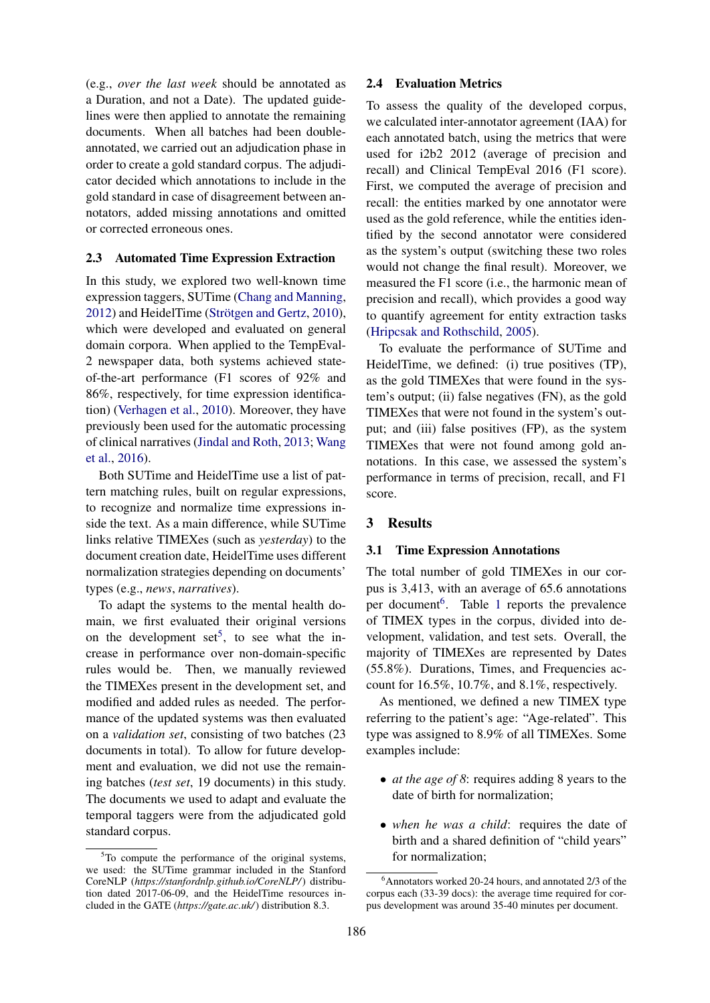(e.g., *over the last week* should be annotated as a Duration, and not a Date). The updated guidelines were then applied to annotate the remaining documents. When all batches had been doubleannotated, we carried out an adjudication phase in order to create a gold standard corpus. The adjudicator decided which annotations to include in the gold standard in case of disagreement between annotators, added missing annotations and omitted or corrected erroneous ones.

#### 2.3 Automated Time Expression Extraction

In this study, we explored two well-known time expression taggers, SUTime [\(Chang and Manning,](#page-8-10)  $2012$ ) and HeidelTime (Strötgen and Gertz,  $2010$ ), which were developed and evaluated on general domain corpora. When applied to the TempEval-2 newspaper data, both systems achieved stateof-the-art performance (F1 scores of 92% and 86%, respectively, for time expression identification) [\(Verhagen et al.,](#page-9-6) [2010\)](#page-9-6). Moreover, they have previously been used for the automatic processing of clinical narratives [\(Jindal and Roth,](#page-8-11) [2013;](#page-8-11) [Wang](#page-9-4) [et al.,](#page-9-4) [2016\)](#page-9-4).

Both SUTime and HeidelTime use a list of pattern matching rules, built on regular expressions, to recognize and normalize time expressions inside the text. As a main difference, while SUTime links relative TIMEXes (such as *yesterday*) to the document creation date, HeidelTime uses different normalization strategies depending on documents' types (e.g., *news*, *narratives*).

To adapt the systems to the mental health domain, we first evaluated their original versions on the development set<sup>[5](#page-3-1)</sup>, to see what the increase in performance over non-domain-specific rules would be. Then, we manually reviewed the TIMEXes present in the development set, and modified and added rules as needed. The performance of the updated systems was then evaluated on a *validation set*, consisting of two batches (23 documents in total). To allow for future development and evaluation, we did not use the remaining batches (*test set*, 19 documents) in this study. The documents we used to adapt and evaluate the temporal taggers were from the adjudicated gold standard corpus.

## 2.4 Evaluation Metrics

To assess the quality of the developed corpus, we calculated inter-annotator agreement (IAA) for each annotated batch, using the metrics that were used for i2b2 2012 (average of precision and recall) and Clinical TempEval 2016 (F1 score). First, we computed the average of precision and recall: the entities marked by one annotator were used as the gold reference, while the entities identified by the second annotator were considered as the system's output (switching these two roles would not change the final result). Moreover, we measured the F1 score (i.e., the harmonic mean of precision and recall), which provides a good way to quantify agreement for entity extraction tasks [\(Hripcsak and Rothschild,](#page-8-12) [2005\)](#page-8-12).

To evaluate the performance of SUTime and HeidelTime, we defined: (i) true positives (TP), as the gold TIMEXes that were found in the system's output; (ii) false negatives (FN), as the gold TIMEXes that were not found in the system's output; and (iii) false positives (FP), as the system TIMEXes that were not found among gold annotations. In this case, we assessed the system's performance in terms of precision, recall, and F1 score.

#### 3 Results

#### <span id="page-3-0"></span>3.1 Time Expression Annotations

The total number of gold TIMEXes in our corpus is 3,413, with an average of 65.6 annotations per document<sup>[6](#page-3-2)</sup>. Table [1](#page-4-0) reports the prevalence of TIMEX types in the corpus, divided into development, validation, and test sets. Overall, the majority of TIMEXes are represented by Dates (55.8%). Durations, Times, and Frequencies account for 16.5%, 10.7%, and 8.1%, respectively.

As mentioned, we defined a new TIMEX type referring to the patient's age: "Age-related". This type was assigned to 8.9% of all TIMEXes. Some examples include:

- *at the age of 8*: requires adding 8 years to the date of birth for normalization;
- *when he was a child*: requires the date of birth and a shared definition of "child years" for normalization;

<span id="page-3-1"></span><sup>&</sup>lt;sup>5</sup>To compute the performance of the original systems, we used: the SUTime grammar included in the Stanford CoreNLP (*https://stanfordnlp.github.io/CoreNLP/*) distribution dated 2017-06-09, and the HeidelTime resources included in the GATE (*https://gate.ac.uk/*) distribution 8.3.

<span id="page-3-2"></span> $6$ Annotators worked 20-24 hours, and annotated 2/3 of the corpus each (33-39 docs): the average time required for corpus development was around 35-40 minutes per document.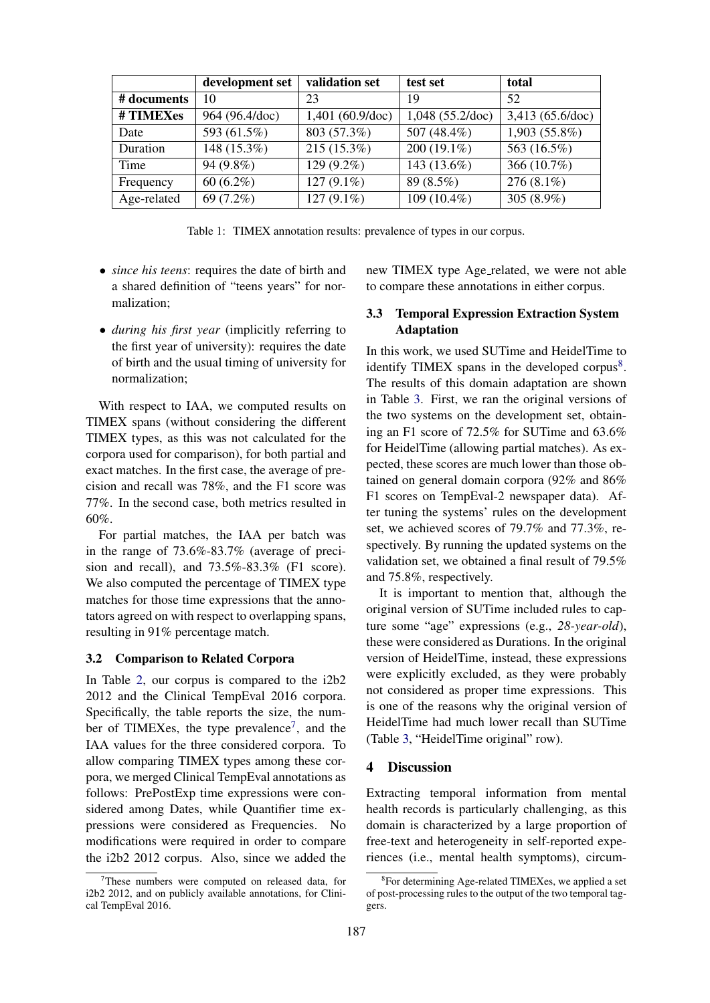|             | development set | validation set     | test set           | total            |
|-------------|-----------------|--------------------|--------------------|------------------|
| # documents | 10              | 23                 | 19                 | 52               |
| #TIMEXes    | 964 (96.4/doc)  | $1,401$ (60.9/doc) | $1,048$ (55.2/doc) | 3,413 (65.6/doc) |
| Date        | 593 (61.5%)     | 803 (57.3%)        | 507 (48.4%)        | 1,903 (55.8%)    |
| Duration    | 148 (15.3%)     | 215 (15.3%)        | 200 (19.1%)        | 563 (16.5%)      |
| Time        | 94 (9.8%)       | $129(9.2\%)$       | 143 (13.6%)        | 366 (10.7%)      |
| Frequency   | $60(6.2\%)$     | $127(9.1\%)$       | 89 (8.5%)          | $276(8.1\%)$     |
| Age-related | 69 (7.2%)       | $127(9.1\%)$       | 109 (10.4%)        | 305 (8.9%)       |

<span id="page-4-0"></span>Table 1: TIMEX annotation results: prevalence of types in our corpus.

- *since his teens*: requires the date of birth and a shared definition of "teens years" for normalization;
- *during his first year* (implicitly referring to the first year of university): requires the date of birth and the usual timing of university for normalization;

With respect to IAA, we computed results on TIMEX spans (without considering the different TIMEX types, as this was not calculated for the corpora used for comparison), for both partial and exact matches. In the first case, the average of precision and recall was 78%, and the F1 score was 77%. In the second case, both metrics resulted in 60%.

For partial matches, the IAA per batch was in the range of 73.6%-83.7% (average of precision and recall), and 73.5%-83.3% (F1 score). We also computed the percentage of TIMEX type matches for those time expressions that the annotators agreed on with respect to overlapping spans, resulting in 91% percentage match.

## 3.2 Comparison to Related Corpora

In Table [2,](#page-5-0) our corpus is compared to the i2b2 2012 and the Clinical TempEval 2016 corpora. Specifically, the table reports the size, the num-ber of TIMEXes, the type prevalence<sup>[7](#page-4-1)</sup>, and the IAA values for the three considered corpora. To allow comparing TIMEX types among these corpora, we merged Clinical TempEval annotations as follows: PrePostExp time expressions were considered among Dates, while Quantifier time expressions were considered as Frequencies. No modifications were required in order to compare the i2b2 2012 corpus. Also, since we added the

new TIMEX type Age\_related, we were not able to compare these annotations in either corpus.

## 3.3 Temporal Expression Extraction System Adaptation

In this work, we used SUTime and HeidelTime to identify TIMEX spans in the developed corpus<sup>[8](#page-4-2)</sup>. The results of this domain adaptation are shown in Table [3.](#page-5-1) First, we ran the original versions of the two systems on the development set, obtaining an F1 score of 72.5% for SUTime and 63.6% for HeidelTime (allowing partial matches). As expected, these scores are much lower than those obtained on general domain corpora (92% and 86% F1 scores on TempEval-2 newspaper data). After tuning the systems' rules on the development set, we achieved scores of 79.7% and 77.3%, respectively. By running the updated systems on the validation set, we obtained a final result of 79.5% and 75.8%, respectively.

It is important to mention that, although the original version of SUTime included rules to capture some "age" expressions (e.g., *28-year-old*), these were considered as Durations. In the original version of HeidelTime, instead, these expressions were explicitly excluded, as they were probably not considered as proper time expressions. This is one of the reasons why the original version of HeidelTime had much lower recall than SUTime (Table [3,](#page-5-1) "HeidelTime original" row).

# 4 Discussion

Extracting temporal information from mental health records is particularly challenging, as this domain is characterized by a large proportion of free-text and heterogeneity in self-reported experiences (i.e., mental health symptoms), circum-

<span id="page-4-1"></span> $7$ These numbers were computed on released data, for i2b2 2012, and on publicly available annotations, for Clinical TempEval 2016.

<span id="page-4-2"></span><sup>8</sup> For determining Age-related TIMEXes, we applied a set of post-processing rules to the output of the two temporal taggers.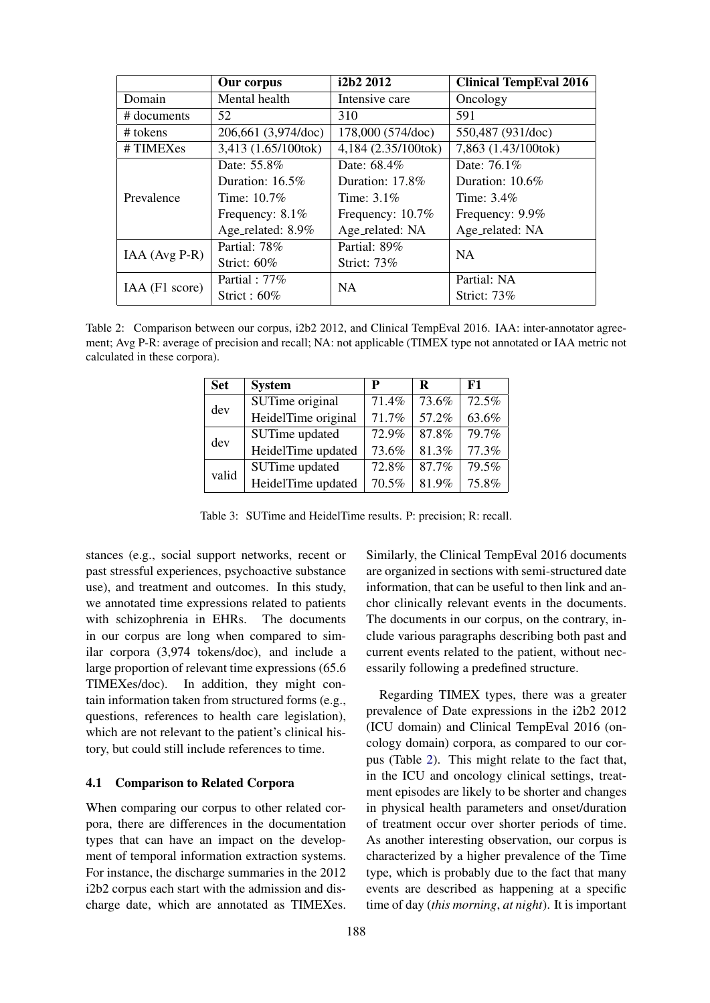|                 | Our corpus          | i2b2 2012           | <b>Clinical TempEval 2016</b> |  |
|-----------------|---------------------|---------------------|-------------------------------|--|
| Domain          | Mental health       | Intensive care      | Oncology                      |  |
| # documents     | 52                  | 310                 | 591                           |  |
| # tokens        | 206,661 (3,974/doc) | 178,000 (574/doc)   | 550,487 (931/doc)             |  |
| #TIMEXes        | 3,413 (1.65/100tok) | 4,184 (2.35/100tok) | 7,863 (1.43/100tok)           |  |
| Prevalence      | Date: 55.8%         | Date: 68.4%         | Date: 76.1%                   |  |
|                 | Duration: 16.5%     | Duration: 17.8%     | Duration: $10.6\%$            |  |
|                 | Time: $10.7\%$      | Time: $3.1\%$       | Time: $3.4\%$                 |  |
|                 | Frequency: 8.1%     | Frequency: 10.7%    | Frequency: 9.9%               |  |
|                 | Age_related: 8.9%   | Age_related: NA     | Age_related: NA               |  |
| $IAA (Avg P-R)$ | Partial: 78%        | Partial: 89%        | <b>NA</b>                     |  |
|                 | Strict: $60\%$      | Strict: 73%         |                               |  |
| IAA (F1 score)  | Partial: 77\%       | <b>NA</b>           | Partial: NA                   |  |
|                 | Strict: $60\%$      |                     | Strict: 73%                   |  |

<span id="page-5-0"></span>Table 2: Comparison between our corpus, i2b2 2012, and Clinical TempEval 2016. IAA: inter-annotator agreement; Avg P-R: average of precision and recall; NA: not applicable (TIMEX type not annotated or IAA metric not calculated in these corpora).

| <b>Set</b> | <b>System</b>       | P     | R     | F1    |
|------------|---------------------|-------|-------|-------|
| dev        | SUTime original     | 71.4% | 73.6% | 72.5% |
|            | HeidelTime original | 71.7% | 57.2% | 63.6% |
| dev        | SUTime updated      | 72.9% | 87.8% | 79.7% |
|            | HeidelTime updated  | 73.6% | 81.3% | 77.3% |
| valid      | SUTime updated      | 72.8% | 87.7% | 79.5% |
|            | HeidelTime updated  | 70.5% | 81.9% | 75.8% |

<span id="page-5-1"></span>Table 3: SUTime and HeidelTime results. P: precision; R: recall.

stances (e.g., social support networks, recent or past stressful experiences, psychoactive substance use), and treatment and outcomes. In this study, we annotated time expressions related to patients with schizophrenia in EHRs. The documents in our corpus are long when compared to similar corpora (3,974 tokens/doc), and include a large proportion of relevant time expressions (65.6 TIMEXes/doc). In addition, they might contain information taken from structured forms (e.g., questions, references to health care legislation), which are not relevant to the patient's clinical history, but could still include references to time.

## 4.1 Comparison to Related Corpora

When comparing our corpus to other related corpora, there are differences in the documentation types that can have an impact on the development of temporal information extraction systems. For instance, the discharge summaries in the 2012 i2b2 corpus each start with the admission and discharge date, which are annotated as TIMEXes.

Similarly, the Clinical TempEval 2016 documents are organized in sections with semi-structured date information, that can be useful to then link and anchor clinically relevant events in the documents. The documents in our corpus, on the contrary, include various paragraphs describing both past and current events related to the patient, without necessarily following a predefined structure.

Regarding TIMEX types, there was a greater prevalence of Date expressions in the i2b2 2012 (ICU domain) and Clinical TempEval 2016 (oncology domain) corpora, as compared to our corpus (Table [2\)](#page-5-0). This might relate to the fact that, in the ICU and oncology clinical settings, treatment episodes are likely to be shorter and changes in physical health parameters and onset/duration of treatment occur over shorter periods of time. As another interesting observation, our corpus is characterized by a higher prevalence of the Time type, which is probably due to the fact that many events are described as happening at a specific time of day (*this morning*, *at night*). It is important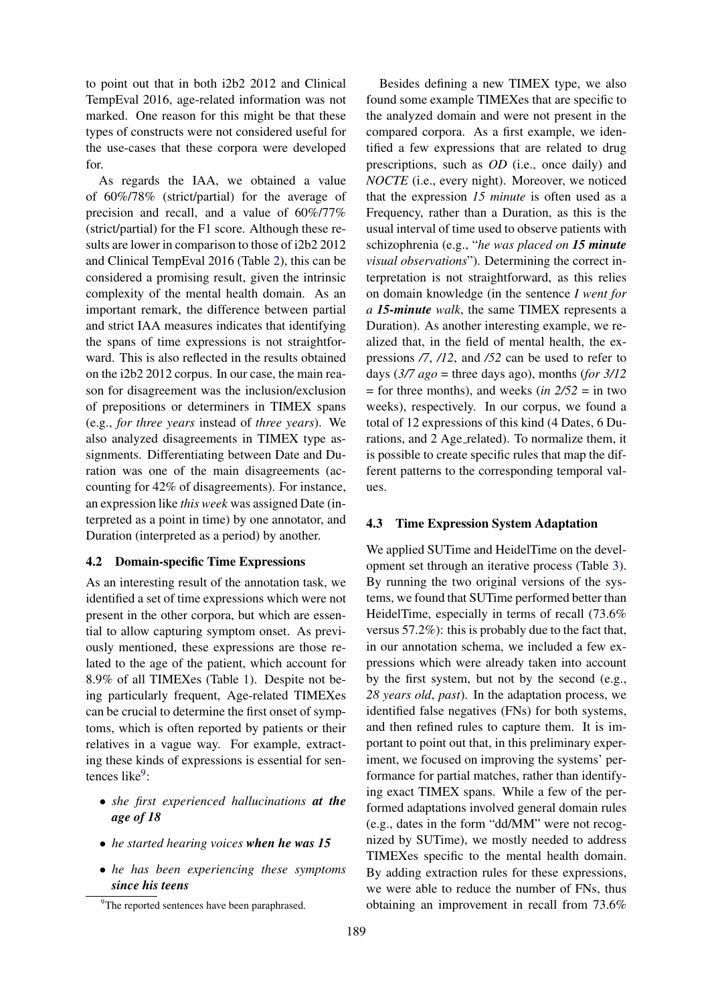to point out that in both i2b2 2012 and Clinical TempEval 2016, age-related information was not marked. One reason for this might be that these types of constructs were not considered useful for the use-cases that these corpora were developed for.

As regards the IAA, we obtained a value of 60%/78% (strict/partial) for the average of precision and recall, and a value of 60%/77% (strict/partial) for the F1 score. Although these results are lower in comparison to those of i2b2 2012 and Clinical TempEval 2016 (Table [2\)](#page-5-0), this can be considered a promising result, given the intrinsic complexity of the mental health domain. As an important remark, the difference between partial and strict IAA measures indicates that identifying the spans of time expressions is not straightforward. This is also reflected in the results obtained on the i2b2 2012 corpus. In our case, the main reason for disagreement was the inclusion/exclusion of prepositions or determiners in TIMEX spans (e.g., *for three years* instead of *three years*). We also analyzed disagreements in TIMEX type assignments. Differentiating between Date and Duration was one of the main disagreements (accounting for 42% of disagreements). For instance, an expression like *this week* was assigned Date (interpreted as a point in time) by one annotator, and Duration (interpreted as a period) by another.

#### 4.2 Domain-specific Time Expressions

As an interesting result of the annotation task, we identified a set of time expressions which were not present in the other corpora, but which are essential to allow capturing symptom onset. As previously mentioned, these expressions are those related to the age of the patient, which account for 8.9% of all TIMEXes (Table [1\)](#page-4-0). Despite not being particularly frequent, Age-related TIMEXes can be crucial to determine the first onset of symptoms, which is often reported by patients or their relatives in a vague way. For example, extracting these kinds of expressions is essential for sen-tences like<sup>[9](#page-6-0)</sup>:

- *she first experienced hallucinations at the age of 18*
- *he started hearing voices when he was 15*
- *he has been experiencing these symptoms since his teens*

Besides defining a new TIMEX type, we also found some example TIMEXes that are specific to the analyzed domain and were not present in the compared corpora. As a first example, we identified a few expressions that are related to drug prescriptions, such as *OD* (i.e., once daily) and *NOCTE* (i.e., every night). Moreover, we noticed that the expression *15 minute* is often used as a Frequency, rather than a Duration, as this is the usual interval of time used to observe patients with schizophrenia (e.g., "*he was placed on 15 minute visual observations*"). Determining the correct interpretation is not straightforward, as this relies on domain knowledge (in the sentence *I went for a 15-minute walk*, the same TIMEX represents a Duration). As another interesting example, we realized that, in the field of mental health, the expressions */7*, */12*, and */52* can be used to refer to days  $(3/7 \text{ ago} = \text{three days ago})$ , months (*for*  $3/12$ = for three months), and weeks (*in 2/52* = in two weeks), respectively. In our corpus, we found a total of 12 expressions of this kind (4 Dates, 6 Durations, and 2 Age\_related). To normalize them, it is possible to create specific rules that map the different patterns to the corresponding temporal values.

#### 4.3 Time Expression System Adaptation

We applied SUTime and HeidelTime on the development set through an iterative process (Table [3\)](#page-5-1). By running the two original versions of the systems, we found that SUTime performed better than HeidelTime, especially in terms of recall (73.6% versus 57.2%): this is probably due to the fact that, in our annotation schema, we included a few expressions which were already taken into account by the first system, but not by the second (e.g., *28 years old*, *past*). In the adaptation process, we identified false negatives (FNs) for both systems, and then refined rules to capture them. It is important to point out that, in this preliminary experiment, we focused on improving the systems' performance for partial matches, rather than identifying exact TIMEX spans. While a few of the performed adaptations involved general domain rules (e.g., dates in the form "dd/MM" were not recognized by SUTime), we mostly needed to address TIMEXes specific to the mental health domain. By adding extraction rules for these expressions, we were able to reduce the number of FNs, thus obtaining an improvement in recall from 73.6%

<span id="page-6-0"></span><sup>&</sup>lt;sup>9</sup>The reported sentences have been paraphrased.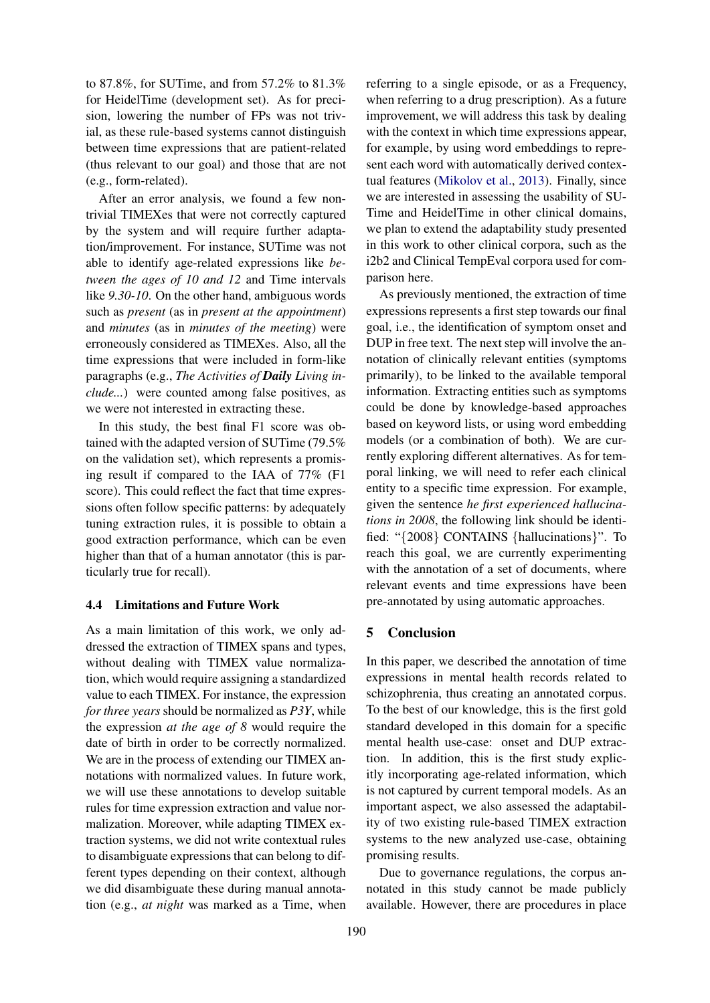to 87.8%, for SUTime, and from 57.2% to 81.3% for HeidelTime (development set). As for precision, lowering the number of FPs was not trivial, as these rule-based systems cannot distinguish between time expressions that are patient-related (thus relevant to our goal) and those that are not (e.g., form-related).

After an error analysis, we found a few nontrivial TIMEXes that were not correctly captured by the system and will require further adaptation/improvement. For instance, SUTime was not able to identify age-related expressions like *between the ages of 10 and 12* and Time intervals like *9.30-10*. On the other hand, ambiguous words such as *present* (as in *present at the appointment*) and *minutes* (as in *minutes of the meeting*) were erroneously considered as TIMEXes. Also, all the time expressions that were included in form-like paragraphs (e.g., *The Activities of Daily Living include...*) were counted among false positives, as we were not interested in extracting these.

In this study, the best final F1 score was obtained with the adapted version of SUTime (79.5% on the validation set), which represents a promising result if compared to the IAA of 77% (F1 score). This could reflect the fact that time expressions often follow specific patterns: by adequately tuning extraction rules, it is possible to obtain a good extraction performance, which can be even higher than that of a human annotator (this is particularly true for recall).

#### 4.4 Limitations and Future Work

As a main limitation of this work, we only addressed the extraction of TIMEX spans and types, without dealing with TIMEX value normalization, which would require assigning a standardized value to each TIMEX. For instance, the expression *for three years* should be normalized as *P3Y*, while the expression *at the age of 8* would require the date of birth in order to be correctly normalized. We are in the process of extending our TIMEX annotations with normalized values. In future work, we will use these annotations to develop suitable rules for time expression extraction and value normalization. Moreover, while adapting TIMEX extraction systems, we did not write contextual rules to disambiguate expressions that can belong to different types depending on their context, although we did disambiguate these during manual annotation (e.g., *at night* was marked as a Time, when

referring to a single episode, or as a Frequency, when referring to a drug prescription). As a future improvement, we will address this task by dealing with the context in which time expressions appear, for example, by using word embeddings to represent each word with automatically derived contextual features [\(Mikolov et al.,](#page-8-13) [2013\)](#page-8-13). Finally, since we are interested in assessing the usability of SU-Time and HeidelTime in other clinical domains, we plan to extend the adaptability study presented in this work to other clinical corpora, such as the i2b2 and Clinical TempEval corpora used for comparison here.

As previously mentioned, the extraction of time expressions represents a first step towards our final goal, i.e., the identification of symptom onset and DUP in free text. The next step will involve the annotation of clinically relevant entities (symptoms primarily), to be linked to the available temporal information. Extracting entities such as symptoms could be done by knowledge-based approaches based on keyword lists, or using word embedding models (or a combination of both). We are currently exploring different alternatives. As for temporal linking, we will need to refer each clinical entity to a specific time expression. For example, given the sentence *he first experienced hallucinations in 2008*, the following link should be identified: "{2008} CONTAINS {hallucinations}". To reach this goal, we are currently experimenting with the annotation of a set of documents, where relevant events and time expressions have been pre-annotated by using automatic approaches.

## 5 Conclusion

In this paper, we described the annotation of time expressions in mental health records related to schizophrenia, thus creating an annotated corpus. To the best of our knowledge, this is the first gold standard developed in this domain for a specific mental health use-case: onset and DUP extraction. In addition, this is the first study explicitly incorporating age-related information, which is not captured by current temporal models. As an important aspect, we also assessed the adaptability of two existing rule-based TIMEX extraction systems to the new analyzed use-case, obtaining promising results.

Due to governance regulations, the corpus annotated in this study cannot be made publicly available. However, there are procedures in place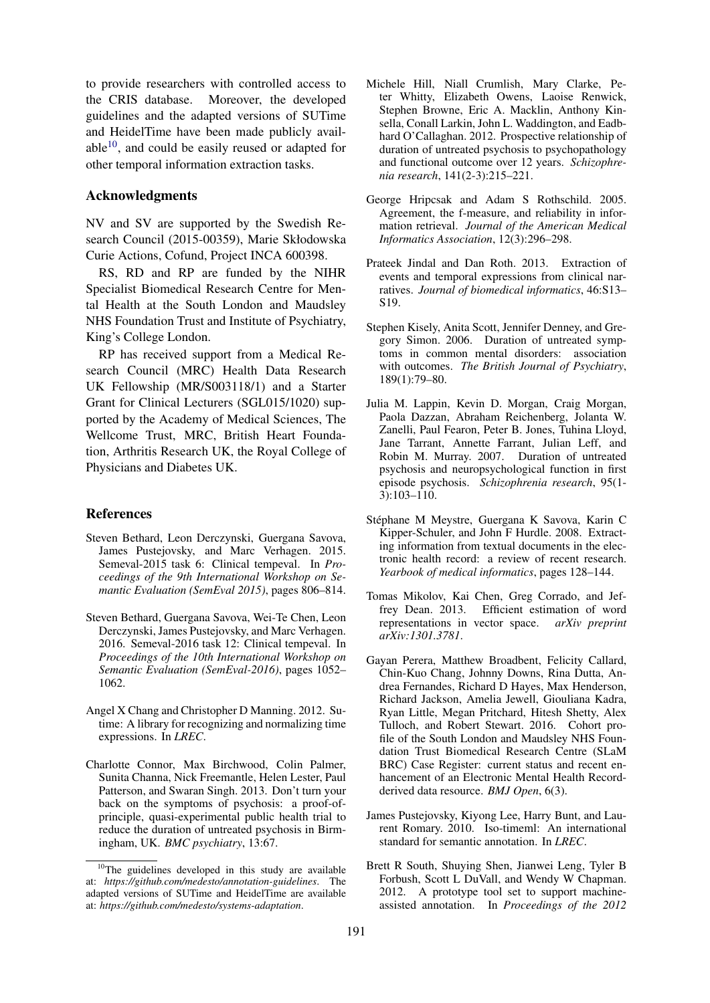to provide researchers with controlled access to the CRIS database. Moreover, the developed guidelines and the adapted versions of SUTime and HeidelTime have been made publicly available $10$ , and could be easily reused or adapted for other temporal information extraction tasks.

#### Acknowledgments

NV and SV are supported by the Swedish Research Council (2015-00359), Marie Skłodowska Curie Actions, Cofund, Project INCA 600398.

RS, RD and RP are funded by the NIHR Specialist Biomedical Research Centre for Mental Health at the South London and Maudsley NHS Foundation Trust and Institute of Psychiatry, King's College London.

RP has received support from a Medical Research Council (MRC) Health Data Research UK Fellowship (MR/S003118/1) and a Starter Grant for Clinical Lecturers (SGL015/1020) supported by the Academy of Medical Sciences, The Wellcome Trust, MRC, British Heart Foundation, Arthritis Research UK, the Royal College of Physicians and Diabetes UK.

## References

- <span id="page-8-6"></span>Steven Bethard, Leon Derczynski, Guergana Savova, James Pustejovsky, and Marc Verhagen. 2015. Semeval-2015 task 6: Clinical tempeval. In *Proceedings of the 9th International Workshop on Semantic Evaluation (SemEval 2015)*, pages 806–814.
- <span id="page-8-7"></span>Steven Bethard, Guergana Savova, Wei-Te Chen, Leon Derczynski, James Pustejovsky, and Marc Verhagen. 2016. Semeval-2016 task 12: Clinical tempeval. In *Proceedings of the 10th International Workshop on Semantic Evaluation (SemEval-2016)*, pages 1052– 1062.
- <span id="page-8-10"></span>Angel X Chang and Christopher D Manning. 2012. Sutime: A library for recognizing and normalizing time expressions. In *LREC*.
- <span id="page-8-3"></span>Charlotte Connor, Max Birchwood, Colin Palmer, Sunita Channa, Nick Freemantle, Helen Lester, Paul Patterson, and Swaran Singh. 2013. Don't turn your back on the symptoms of psychosis: a proof-ofprinciple, quasi-experimental public health trial to reduce the duration of untreated psychosis in Birmingham, UK. *BMC psychiatry*, 13:67.
- <span id="page-8-2"></span>Michele Hill, Niall Crumlish, Mary Clarke, Peter Whitty, Elizabeth Owens, Laoise Renwick, Stephen Browne, Eric A. Macklin, Anthony Kinsella, Conall Larkin, John L. Waddington, and Eadbhard O'Callaghan. 2012. Prospective relationship of duration of untreated psychosis to psychopathology and functional outcome over 12 years. *Schizophrenia research*, 141(2-3):215–221.
- <span id="page-8-12"></span>George Hripcsak and Adam S Rothschild. 2005. Agreement, the f-measure, and reliability in information retrieval. *Journal of the American Medical Informatics Association*, 12(3):296–298.
- <span id="page-8-11"></span>Prateek Jindal and Dan Roth. 2013. Extraction of events and temporal expressions from clinical narratives. *Journal of biomedical informatics*, 46:S13– S19.
- <span id="page-8-0"></span>Stephen Kisely, Anita Scott, Jennifer Denney, and Gregory Simon. 2006. Duration of untreated symptoms in common mental disorders: association with outcomes. *The British Journal of Psychiatry*, 189(1):79–80.
- <span id="page-8-1"></span>Julia M. Lappin, Kevin D. Morgan, Craig Morgan, Paola Dazzan, Abraham Reichenberg, Jolanta W. Zanelli, Paul Fearon, Peter B. Jones, Tuhina Lloyd, Jane Tarrant, Annette Farrant, Julian Leff, and Robin M. Murray. 2007. Duration of untreated psychosis and neuropsychological function in first episode psychosis. *Schizophrenia research*, 95(1- 3):103–110.
- <span id="page-8-4"></span>Stephane M Meystre, Guergana K Savova, Karin C ´ Kipper-Schuler, and John F Hurdle. 2008. Extracting information from textual documents in the electronic health record: a review of recent research. *Yearbook of medical informatics*, pages 128–144.
- <span id="page-8-13"></span>Tomas Mikolov, Kai Chen, Greg Corrado, and Jeffrey Dean. 2013. Efficient estimation of word representations in vector space. *arXiv preprint arXiv:1301.3781*.
- <span id="page-8-8"></span>Gayan Perera, Matthew Broadbent, Felicity Callard, Chin-Kuo Chang, Johnny Downs, Rina Dutta, Andrea Fernandes, Richard D Hayes, Max Henderson, Richard Jackson, Amelia Jewell, Giouliana Kadra, Ryan Little, Megan Pritchard, Hitesh Shetty, Alex Tulloch, and Robert Stewart. 2016. Cohort profile of the South London and Maudsley NHS Foundation Trust Biomedical Research Centre (SLaM BRC) Case Register: current status and recent enhancement of an Electronic Mental Health Recordderived data resource. *BMJ Open*, 6(3).
- <span id="page-8-5"></span>James Pustejovsky, Kiyong Lee, Harry Bunt, and Laurent Romary. 2010. Iso-timeml: An international standard for semantic annotation. In *LREC*.
- <span id="page-8-9"></span>Brett R South, Shuying Shen, Jianwei Leng, Tyler B Forbush, Scott L DuVall, and Wendy W Chapman. 2012. A prototype tool set to support machineassisted annotation. In *Proceedings of the 2012*

<span id="page-8-14"></span> $10$ The guidelines developed in this study are available at: *https://github.com/medesto/annotation-guidelines*. The adapted versions of SUTime and HeidelTime are available at: *https://github.com/medesto/systems-adaptation*.